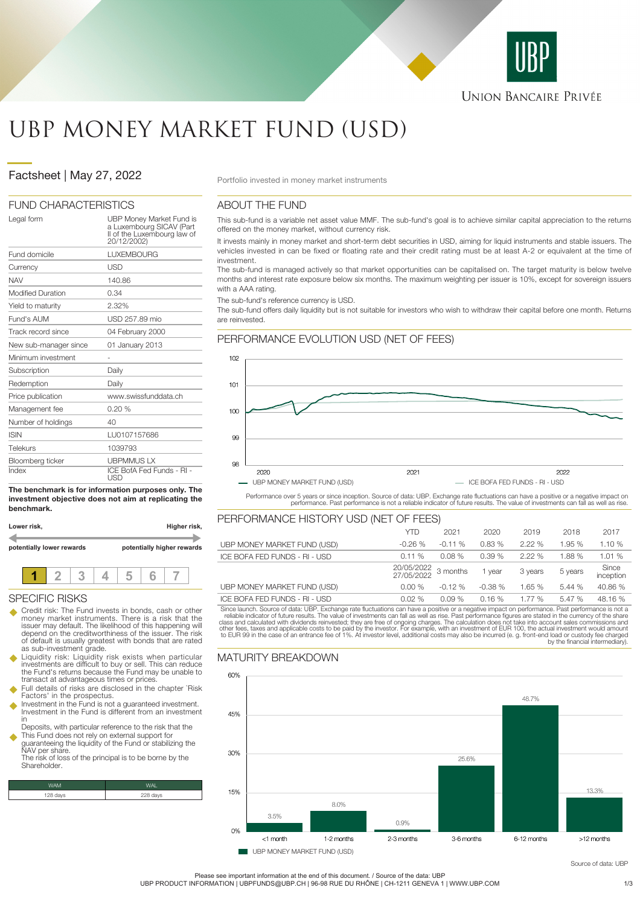

# UBP MONEY MARKET FUND (USD)

# Factsheet | May 27, 2022 **Portfolio invested in money market instruments**

### FUND CHARACTERISTICS

| Legal form               | UBP Money Market Fund is<br>a Luxembourg SICAV (Part<br>Il of the Luxembourg law of<br>20/12/2002) |
|--------------------------|----------------------------------------------------------------------------------------------------|
| Fund domicile            | <b>LUXEMBOURG</b>                                                                                  |
| Currency                 | USD                                                                                                |
| <b>NAV</b>               | 140.86                                                                                             |
| <b>Modified Duration</b> | 0.34                                                                                               |
| Yield to maturity        | 2.32%                                                                                              |
| Fund's AUM               | USD 257.89 mio                                                                                     |
| Track record since       | 04 February 2000                                                                                   |
| New sub-manager since    | 01 January 2013                                                                                    |
| Minimum investment       |                                                                                                    |
| Subscription             | Daily                                                                                              |
| Redemption               | Daily                                                                                              |
| Price publication        | www.swissfunddata.ch                                                                               |
| Management fee           | 0.20%                                                                                              |
| Number of holdings       | 40                                                                                                 |
| <b>ISIN</b>              | LU0107157686                                                                                       |
| Telekurs                 | 1039793                                                                                            |
| Bloomberg ticker         | <b>UBPMMUSLX</b>                                                                                   |
| Index                    | ICE BofA Fed Funds - RI -<br>USD                                                                   |

**The benchmark is for information purposes only. The investment objective does not aim at replicating the benchmark.**

| Lower risk,               | Higher risk, |  |  |                            |  |  |  |
|---------------------------|--------------|--|--|----------------------------|--|--|--|
| potentially lower rewards |              |  |  | potentially higher rewards |  |  |  |
|                           |              |  |  |                            |  |  |  |

### SPECIFIC RISKS

- Credit risk: The Fund invests in bonds, cash or other money market instruments. There is a risk that the issuer may default. The likelihood of this happening will depend on the creditworthiness of the issuer. The risk of default is usually greatest with bonds that are rated as sub-investment grade.
- u Liquidity risk: Liquidity risk exists when particular investments are difficult to buy or sell. This can reduce the Fund's returns because the Fund may be unable to transact at advantageous times or prices.
- Full details of risks are disclosed in the chapter `Risk Factors' in the prospectus.<br>Investment in the Fund is not a quaranteed investment
- u Investment in the Fund is not a guaranteed investment. Investment in the Fund is different from an investment
- in Deposits, with particular reference to the risk that the
- u This Fund does not rely on external support for guaranteeing the liquidity of the Fund or stabilizing the NAV per share. The risk of loss of the principal is to be borne by the

Shareholder

| WAM      |      |
|----------|------|
| 128 days | davs |
|          |      |

# ABOUT THE FUND

This sub-fund is a variable net asset value MMF. The sub-fund's goal is to achieve similar capital appreciation to the returns offered on the money market, without currency risk.

It invests mainly in money market and short-term debt securities in USD, aiming for liquid instruments and stable issuers. The vehicles invested in can be fixed or floating rate and their credit rating must be at least A-2 or equivalent at the time of investment.

The sub-fund is managed actively so that market opportunities can be capitalised on. The target maturity is below twelve months and interest rate exposure below six months. The maximum weighting per issuer is 10%, except for sovereign issuers with a AAA rating

The sub-fund's reference currency is USD.

The sub-fund offers daily liquidity but is not suitable for investors who wish to withdraw their capital before one month. Returns are reinvested.

# PERFORMANCE EVOLUTION USD (NET OF FEES)



Performance over 5 years or since inception. Source of data: UBP. Exchange rate fluctuations can have a positive or a negative impact on<br>performance. Past performance is not a reliable indicator of future results. The valu

| PERFORMANCE HISTORY USD (NET OF FEES) |                     |          |          |         |         |                    |
|---------------------------------------|---------------------|----------|----------|---------|---------|--------------------|
|                                       | YTD                 | 2021     | 2020     | 2019    | 2018    | 2017               |
| UBP MONEY MARKET FUND (USD)           | $-0.26%$            | $-0.11%$ | 0.83%    | 2.22%   | 1.95 %  | 1.10 %             |
| ICE BOFA FED FUNDS - RI - USD         | 0.11%               | 0.08%    | 0.39%    | 2.22%   | 1.88%   | 1.01 %             |
|                                       | 20/05/2022 3 months |          | 1 year   | 3 years | 5 years | Since<br>inception |
| UBP MONEY MARKET FUND (USD)           | $0.00\%$            | $-0.12%$ | $-0.38%$ | 1.65 %  | 5.44 %  | 40.86 %            |
| ICE BOFA FED FUNDS - RI - USD         | $0.02\%$            | 0.09%    | 0.16%    | 1.77%   | 5.47 %  | 48.16 %            |

Since launch. Source of data: UBP. Exchange rate fluctuations can have a positive or a negative impact on performance. Past performance is not a reliable indicator of future results. The value of investments can fall as we

# MATURITY BREAKDOWN



**UBP MONEY MARKET FUND (USD)** 

Source of data: URF

Please see important information at the end of this document. / Source of the data: UBP

UBP PRODUCT INFORMATION | UBPFUNDS@UBP.CH | 96-98 RUE DU RHÔNE | CH-1211 GENEVA 1 | WWW.UBP.COM 31/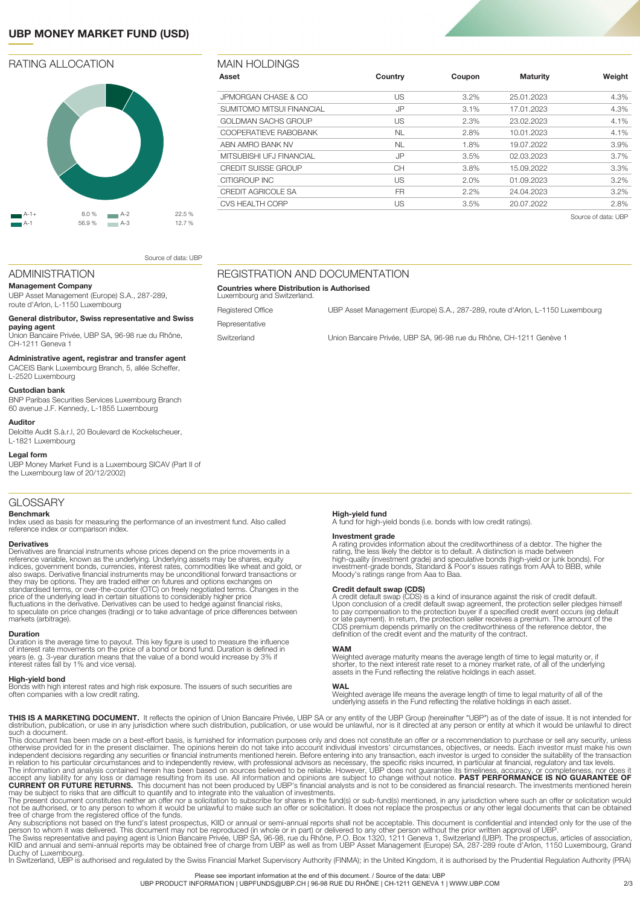# **UBP MONEY MARKET FUND (USD)**

# RATING ALLOCATION



| 3.2%<br>25.01.2023<br>3.1%<br>17.01.2023 | 4.3%                       |
|------------------------------------------|----------------------------|
|                                          |                            |
|                                          | 4.3%                       |
| 2.3%<br>23.02.2023                       | 4.1%                       |
| 2.8%<br>10.01.2023                       | 4.1%                       |
| 1.8%<br>19.07.2022                       | 3.9%                       |
| 3.5%<br>02.03.2023                       | $3.7\%$                    |
| 3.8%<br>15.09.2022                       | 3.3%                       |
| 2.0%<br>01.09.2023                       | $3.2\%$                    |
| 24.04.2023                               | $3.2\%$                    |
|                                          | 2.8%                       |
|                                          | 2.2%<br>20.07.2022<br>3.5% |

Registered Office **CHACCE COFFICED UBB** Asset Management (Europe) S.A., 287-289, route d'Arlon, L-1150 Luxembourg

Switzerland Union Bancaire Privée, UBP SA, 96-98 rue du Rhône, CH-1211 Genève 1

Source of data: UBP

#### ADMINISTRATION

**Management Company** UBP Asset Management (Europe) S.A., 287-289, route d'Arlon, L-1150 Luxembourg

## **General distributor, Swiss representative and Swiss**

**paying agent** Union Bancaire Privée, UBP SA, 96-98 rue du Rhône, CH-1211 Geneva 1

### **Administrative agent, registrar and transfer agent**

CACEIS Bank Luxembourg Branch, 5, allée Scheffer,

#### L-2520 Luxembourg **Custodian bank**

BNP Paribas Securities Services Luxembourg Branch 60 avenue J.F. Kennedy, L-1855 Luxembourg

#### **Auditor**

Deloitte Audit S.à.r.l, 20 Boulevard de Kockelscheuer, L-1821 Luxembourg

#### **Legal form**

UBP Money Market Fund is a Luxembourg SICAV (Part II of the Luxembourg law of 20/12/2002)

#### GLOSSARY

#### **Benchmark**

Index used as basis for measuring the performance of an investment fund. Also called reference index or comparison index.

#### **Derivatives**

Derivatives are financial instruments whose prices depend on the price movements in a<br>reference variable, known as the underlying. Underlying assets may be shares, equity<br>indices, government bonds, currencies, interest rat also swaps. Derivative financial instruments may be unconditional forward transactions or<br>they may be options. They are traded either on futures and options exchanges on<br>standardised terms, or over-the-counter (OTC) on fre price of the underlying lead in certain situations to considerably higher price fluctuations in the derivative. Derivatives can be used to hedge against financial risks, to speculate on price changes (trading) or to take advantage of price differences between markets (arbitrage).

#### **Duration**

Duration is the average time to payout. This key figure is used to measure the influence of interest rate movements on the price of a bond or bond fund. Duration is defined in 3-year duration means that the value of a bond would increase by 3% if interest rates fall by 1% and vice versa).

#### **High-yield bond**

Bonds with high interest rates and high risk exposure. The issuers of such securities are often companies with a low credit rating.

REGISTRATION AND DOCUMENTATION

**Countries where Distribution is Authorised**

Luxembourg and Switzerland.

Representative

**High-yield fund** A fund for high-yield bonds (i.e. bonds with low credit ratings).

**Investment grade**<br>A rating provides information about the creditworthiness of a debtor. The higher the<br>A rating, the less likely the debtor is to default. A distinction is made between<br>high-quality (investment grade) and

**Credit default swap (CDS)**<br>A reddit default swap (CDS) is a kind of insurance against the risk of credit default.<br>Upon conclusion of a credit default swap agreement, the protection seller pledges himself<br>to pay compensati

#### **WAM**

Weighted average maturity means the average length of time to legal maturity or, if shorter, to the next interest rate reset to a money market rate, of all of the underlying assets in the Fund reflecting the relative holdings in each asset.

#### **WAL**

Weighted average life means the average length of time to legal maturity of all of the underlying assets in the Fund reflecting the relative holdings in each asset.

**THIS IS A MARKETING DOCUMENT.** It reflects the opinion of Union Bancaire Privée, UBP SA or any entity of the UBP Group (hereinafter "UBP") as of the date of issue. It is not intended for<br>distribution, publication, or use

This document has been made on a best-effort basis, is furnished for information purposes only and does not constitute an offer or a recommendation to purchase or sell any security, unless<br>otherwise provided for in the pre

The present document constitutes neither an offer nor a solicitation to subscribe for shares in the fund(s) or sub-fund(s) mentioned, in any jurisdiction where such an offer or solicitation would<br>not be authorised, or to a

Duchy of Luxembourg.<br>In Switzerland, UBP is authorised and regulated by the Swiss Financial Market Supervisory Authority (FINMA); in the United Kingdom, it is authorised by the Prudential Regulation Authority (PRA)

Please see important information at the end of this document. / Source of the data: UBP

UBP PRODUCT INFORMATION | UBPFUNDS@UBP.CH | 96-98 RUE DU RHÔNE | CH-1211 GENEVA 1 | WWW.UBP.COM 32/